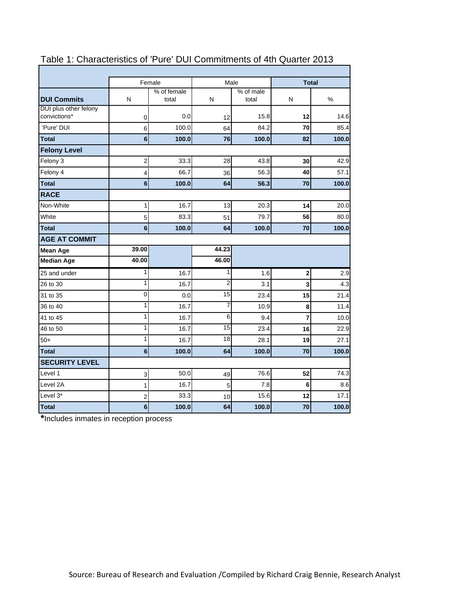|                       |                         | Female               | Male            |                    | <b>Total</b>   |       |  |
|-----------------------|-------------------------|----------------------|-----------------|--------------------|----------------|-------|--|
| <b>DUI Commits</b>    | N                       | % of female<br>total | N               | % of male<br>total | N              | %     |  |
| DUI plus other felony |                         |                      |                 |                    |                |       |  |
| convictions*          | 0                       | 0.0                  | 12              | 15.8               | 12             | 14.6  |  |
| 'Pure' DUI            | 6                       | 100.0                | 64              | 84.2               | 70             | 85.4  |  |
| <b>Total</b>          | 6                       | 100.0                | 76              | 100.0              | 82             | 100.0 |  |
| <b>Felony Level</b>   |                         |                      |                 |                    |                |       |  |
| Felony 3              | $\overline{\mathbf{c}}$ | 33.3                 | 28              | 43.8               | 30             | 42.9  |  |
| Felony 4              | 4                       | 66.7                 | 36              | 56.3               | 40             | 57.1  |  |
| <b>Total</b>          | 6                       | 100.0                | 64              | 56.3               | 70             | 100.0 |  |
| <b>RACE</b>           |                         |                      |                 |                    |                |       |  |
| Non-White             | 1                       | 16.7                 | 13              | 20.3               | 14             | 20.0  |  |
| White                 | 5                       | 83.3                 | 51              | 79.7               | 56             | 80.0  |  |
| <b>Total</b>          | 6                       | 100.0                | 64              | 100.0              | 70             | 100.0 |  |
| <b>AGE AT COMMIT</b>  |                         |                      |                 |                    |                |       |  |
| <b>Mean Age</b>       | 39.00                   |                      | 44.23           |                    |                |       |  |
| <b>Median Age</b>     | 40.00                   |                      | 46.00           |                    |                |       |  |
| 25 and under          | 1                       | 16.7                 | 1               | 1.6                | $\bf{2}$       | 2.9   |  |
| 26 to 30              | 1                       | 16.7                 | $\overline{c}$  | 3.1                | 3              | 4.3   |  |
| 31 to 35              | $\overline{0}$          | 0.0                  | $\overline{15}$ | 23.4               | 15             | 21.4  |  |
| 36 to 40              | 1                       | 16.7                 | 7               | 10.9               | 8              | 11.4  |  |
| 41 to 45              |                         |                      |                 |                    |                |       |  |
|                       | 1                       | 16.7                 | 6               | 9.4                | $\overline{7}$ | 10.0  |  |
| 46 to 50              | 1                       | 16.7                 | 15              | 23.4               | 16             | 22.9  |  |
| $50+$                 | 1                       | 16.7                 | $\overline{18}$ | 28.1               | 19             | 27.1  |  |
| <b>Total</b>          | 6                       | 100.0                | 64              | 100.0              | 70             | 100.0 |  |
| <b>SECURITY LEVEL</b> |                         |                      |                 |                    |                |       |  |
| Level 1               | 3                       | 50.0                 | 49              | 76.6               | 52             | 74.3  |  |
| Level 2A              | 1                       | 16.7                 | 5               | 7.8                | 6              | 8.6   |  |
| Level 3*              | 2                       | 33.3                 | 10              | 15.6               | 12             | 17.1  |  |

# Table 1: Characteristics of 'Pure' DUI Commitments of 4th Quarter 2013

**\***Includes inmates in reception process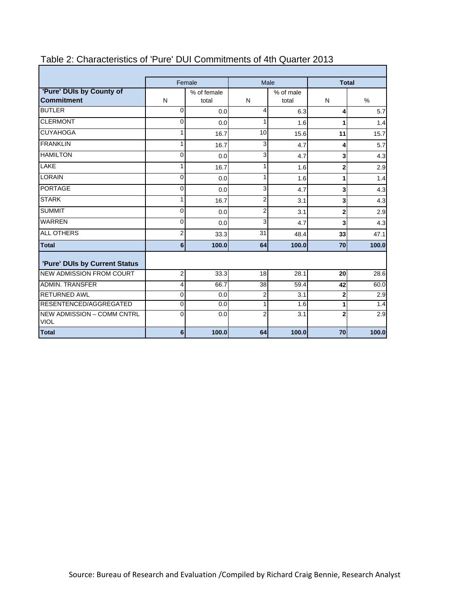|                                                  |             | Female               | Male           |                    | <b>Total</b>   |       |
|--------------------------------------------------|-------------|----------------------|----------------|--------------------|----------------|-------|
| 'Pure' DUIs by County of<br><b>Commitment</b>    | N           | % of female<br>total | N              | % of male<br>total | N              | $\%$  |
| <b>BUTLER</b>                                    | $\Omega$    | 0.0                  | 4              | 6.3                | 4              | 5.7   |
| <b>CLERMONT</b>                                  | $\Omega$    | 0.0                  | 1              | 1.6                | 1              | 1.4   |
| <b>CUYAHOGA</b>                                  |             | 16.7                 | 10             | 15.6               | 11             | 15.7  |
| <b>FRANKLIN</b>                                  |             | 16.7                 | 3              | 4.7                | 4              | 5.7   |
| <b>HAMILTON</b>                                  | 0           | 0.0                  | 3              | 4.7                | 3              | 4.3   |
| LAKE                                             |             | 16.7                 | 1              | 1.6                | $\mathbf{2}$   | 2.9   |
| LORAIN                                           | 0           | 0.0                  | 1              | 1.6                | 1              | 1.4   |
| <b>PORTAGE</b>                                   | $\mathbf 0$ | 0.0                  | 3              | 4.7                | 3              | 4.3   |
| <b>STARK</b>                                     | 1           | 16.7                 | $\overline{2}$ | 3.1                | 3              | 4.3   |
| <b>SUMMIT</b>                                    | $\Omega$    | 0.0                  | 2              | 3.1                | $\overline{2}$ | 2.9   |
| <b>WARREN</b>                                    | 0           | 0.0                  | 3              | 4.7                | 3              | 4.3   |
| <b>ALL OTHERS</b>                                | 2           | 33.3                 | 31             | 48.4               | 33             | 47.1  |
| <b>Total</b>                                     | 6           | 100.0                | 64             | 100.0              | 70             | 100.0 |
| 'Pure' DUIs by Current Status                    |             |                      |                |                    |                |       |
| <b>NEW ADMISSION FROM COURT</b>                  | 2           | 33.3                 | 18             | 28.1               | 20             | 28.6  |
| <b>ADMIN. TRANSFER</b>                           | 4           | 66.7                 | 38             | 59.4               | 42             | 60.0  |
| <b>RETURNED AWL</b>                              | $\mathbf 0$ | 0.0                  | $\overline{2}$ | 3.1                | $\mathbf{2}$   | 2.9   |
| RESENTENCED/AGGREGATED                           | 0           | 0.0                  | 1              | 1.6                | 1              | 1.4   |
| <b>NEW ADMISSION - COMM CNTRL</b><br><b>VIOL</b> | $\Omega$    | 0.0                  | $\overline{2}$ | 3.1                | $\overline{2}$ | 2.9   |
| <b>Total</b>                                     | 6           | 100.0                | 64             | 100.0              | 70             | 100.0 |

# Table 2: Characteristics of 'Pure' DUI Commitments of 4th Quarter 2013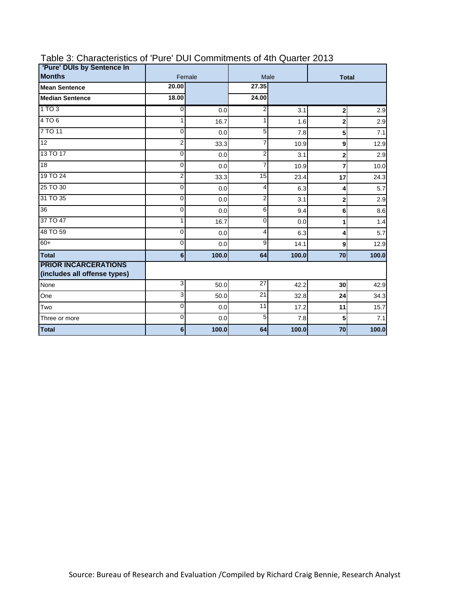| 'Pure' DUIs by Sentence In                                  |                |        |                 |              |                 |       |
|-------------------------------------------------------------|----------------|--------|-----------------|--------------|-----------------|-------|
| <b>Months</b>                                               |                | Female | Male            | <b>Total</b> |                 |       |
| <b>Mean Sentence</b>                                        | 20.00          |        | 27.35           |              |                 |       |
| <b>Median Sentence</b>                                      | 18.00          |        | 24.00           |              |                 |       |
| 1 TO 3                                                      | 0              | 0.0    | $\overline{2}$  | 3.1          | $\mathbf{2}$    | 2.9   |
| 4 TO 6                                                      |                | 16.7   | 1               | 1.6          | $\mathbf 2$     | 2.9   |
| 7 TO 11                                                     | $\Omega$       | 0.0    | 5               | 7.8          | 5               | 7.1   |
| $\overline{12}$                                             | 2              | 33.3   | $\overline{7}$  | 10.9         | 9               | 12.9  |
| 13 TO 17                                                    | 0              | 0.0    | $\overline{2}$  | 3.1          | $\overline{2}$  | 2.9   |
| 18                                                          | $\mathbf 0$    | 0.0    | 7               | 10.9         | $\overline{7}$  | 10.0  |
| 19 TO 24                                                    | $\overline{2}$ | 33.3   | 15              | 23.4         | 17              | 24.3  |
| 25 TO 30                                                    | $\Omega$       | 0.0    | 4               | 6.3          | 4               | 5.7   |
| 31 TO 35                                                    | $\Omega$       | 0.0    | $\overline{2}$  | 3.1          | $\overline{2}$  | 2.9   |
| 36                                                          | $\Omega$       | 0.0    | 6               | 9.4          | 6               | 8.6   |
| 37 TO 47                                                    |                | 16.7   | 0               | 0.0          | 1               | 1.4   |
| 48 TO 59                                                    | $\mathbf{0}$   | 0.0    | 4               | 6.3          | 4               | 5.7   |
| $60+$                                                       | 0              | 0.0    | 9               | 14.1         | 9               | 12.9  |
| <b>Total</b>                                                | $6\phantom{1}$ | 100.0  | 64              | 100.0        | 70              | 100.0 |
| <b>PRIOR INCARCERATIONS</b><br>(includes all offense types) |                |        |                 |              |                 |       |
| None                                                        | 3              | 50.0   | 27              | 42.2         | 30 <sub>1</sub> | 42.9  |
| One                                                         | 3              | 50.0   | $\overline{21}$ | 32.8         | 24              | 34.3  |
| Two                                                         | 0              | 0.0    | 11              | 17.2         | 11              | 15.7  |
| Three or more                                               | $\mathbf 0$    | 0.0    | 5               | 7.8          | 5               | 7.1   |
| <b>Total</b>                                                | 6              | 100.0  | 64              | 100.0        | 70              | 100.0 |

### Table 3: Characteristics of 'Pure' DUI Commitments of 4th Quarter 2013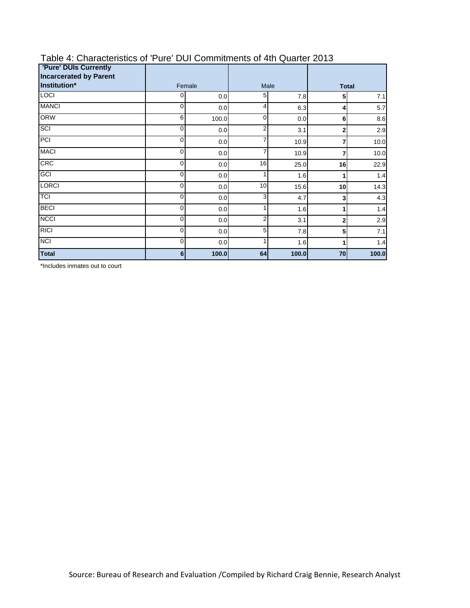| <b>'Pure' DUIs Currently</b><br><b>Incarcerated by Parent</b> |                |       |                |       |                  |       |
|---------------------------------------------------------------|----------------|-------|----------------|-------|------------------|-------|
| Institution*                                                  | Female         |       | Male           |       | <b>Total</b>     |       |
| <b>LOCI</b>                                                   | 0              | 0.0   | 5              | 7.8   | 5                | 7.1   |
| <b>MANCI</b>                                                  | $\mathbf 0$    | 0.0   | 4              | 6.3   | $\boldsymbol{4}$ | 5.7   |
| <b>ORW</b>                                                    | 6              | 100.0 | 0              | 0.0   | 6                | 8.6   |
| SCI                                                           | $\mathbf 0$    | 0.0   | 2              | 3.1   | $\mathbf 2$      | 2.9   |
| PCI                                                           | $\Omega$       | 0.0   | $\overline{7}$ | 10.9  | 7                | 10.0  |
| <b>MACI</b>                                                   | $\mathbf 0$    | 0.0   | $\overline{7}$ | 10.9  | 7                | 10.0  |
| CRC                                                           | $\mathbf 0$    | 0.0   | 16             | 25.0  | 16               | 22.9  |
| GCI                                                           | $\mathbf 0$    | 0.0   | 1              | 1.6   | 1                | 1.4   |
| <b>LORCI</b>                                                  | 0              | 0.0   | 10             | 15.6  | 10 <sub>1</sub>  | 14.3  |
| <b>TCI</b>                                                    | $\mathbf 0$    | 0.0   | 3              | 4.7   | 3                | 4.3   |
| <b>BECI</b>                                                   | $\mathbf 0$    | 0.0   | 1              | 1.6   | 1                | 1.4   |
| <b>NCCI</b>                                                   | $\Omega$       | 0.0   | 2              | 3.1   | $\overline{2}$   | 2.9   |
| RICI                                                          | $\mathbf 0$    | 0.0   | 5              | 7.8   | 5                | 7.1   |
| <b>NCI</b>                                                    | $\mathbf 0$    | 0.0   | 1              | 1.6   | 1                | 1.4   |
| <b>Total</b>                                                  | $6\phantom{1}$ | 100.0 | 64             | 100.0 | 70               | 100.0 |

### Table 4: Characteristics of 'Pure' DUI Commitments of 4th Quarter 2013

\*Includes inmates out to court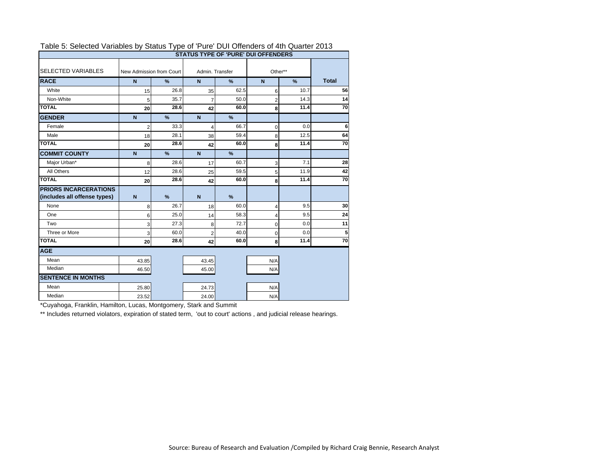| Table 5. Selected Variables by Status Type of Fulle DOI Offerfuels of 4th Quarter 2013 |                          |      |                 |      | <b>STATUS TYPE OF 'PURE' DUI OFFENDERS</b> |      |              |
|----------------------------------------------------------------------------------------|--------------------------|------|-----------------|------|--------------------------------------------|------|--------------|
| <b>SELECTED VARIABLES</b>                                                              | New Admission from Court |      | Admin. Transfer |      | Other**                                    |      |              |
| <b>RACE</b>                                                                            | N                        | %    | $\mathbf N$     | %    | $\mathbf N$                                | $\%$ | <b>Total</b> |
| White                                                                                  | 15                       | 26.8 | 35              | 62.5 | 6                                          | 10.7 | 56           |
| Non-White                                                                              | 5                        | 35.7 | $\overline{7}$  | 50.0 | $\overline{2}$                             | 14.3 | 14           |
| <b>TOTAL</b>                                                                           | 20                       | 28.6 | 42              | 60.0 | 8                                          | 11.4 | 70           |
| <b>GENDER</b>                                                                          | $\mathbf N$              | %    | $\overline{N}$  | %    |                                            |      |              |
| Female                                                                                 | $\overline{2}$           | 33.3 | 4               | 66.7 | $\mathbf 0$                                | 0.0  | 6            |
| Male                                                                                   | 18                       | 28.1 | 38              | 59.4 | 8                                          | 12.5 | 64           |
| <b>TOTAL</b>                                                                           | 20                       | 28.6 | 42              | 60.0 | 8                                          | 11.4 | 70           |
| <b>COMMIT COUNTY</b>                                                                   | $\overline{N}$           | %    | $\overline{N}$  | %    |                                            |      |              |
| Major Urban*                                                                           | 8                        | 28.6 | 17              | 60.7 | 3                                          | 7.1  | 28           |
| All Others                                                                             | 12                       | 28.6 | 25              | 59.5 | 5                                          | 11.9 | 42           |
| <b>TOTAL</b>                                                                           | 20                       | 28.6 | 42              | 60.0 | 8                                          | 11.4 | 70           |
| <b>PRIORS INCARCERATIONS</b><br>(includes all offense types)                           | $\mathbf N$              | %    | $\mathbf N$     | %    |                                            |      |              |
| None                                                                                   | 8                        | 26.7 | 18              | 60.0 | 4                                          | 9.5  | 30           |
| One                                                                                    | 6                        | 25.0 | 14              | 58.3 | 4                                          | 9.5  | 24           |
| Two                                                                                    | 3                        | 27.3 | 8               | 72.7 | $\mathbf 0$                                | 0.0  | 11           |
| Three or More                                                                          | 3                        | 60.0 | $\overline{2}$  | 40.0 | $\mathbf 0$                                | 0.0  | 5            |
| <b>TOTAL</b>                                                                           | 20                       | 28.6 | 42              | 60.0 | 8                                          | 11.4 | 70           |
| <b>AGE</b>                                                                             |                          |      |                 |      |                                            |      |              |
| Mean                                                                                   | 43.85                    |      | 43.45           |      | N/A                                        |      |              |
| Median                                                                                 | 46.50                    |      | 45.00           |      | N/A                                        |      |              |
| <b>SENTENCE IN MONTHS</b>                                                              |                          |      |                 |      |                                            |      |              |
| Mean                                                                                   | 25.80                    |      | 24.73           |      | N/A                                        |      |              |
| Median                                                                                 | 23.52                    |      | 24.00           |      | N/A                                        |      |              |

#### Table 5: Selected Variables by Status Type of 'Pure' DUI Offenders of 4th Quarter 2013

\*Cuyahoga, Franklin, Hamilton, Lucas, Montgomery, Stark and Summit

\*\* Includes returned violators, expiration of stated term, 'out to court' actions, and judicial release hearings.